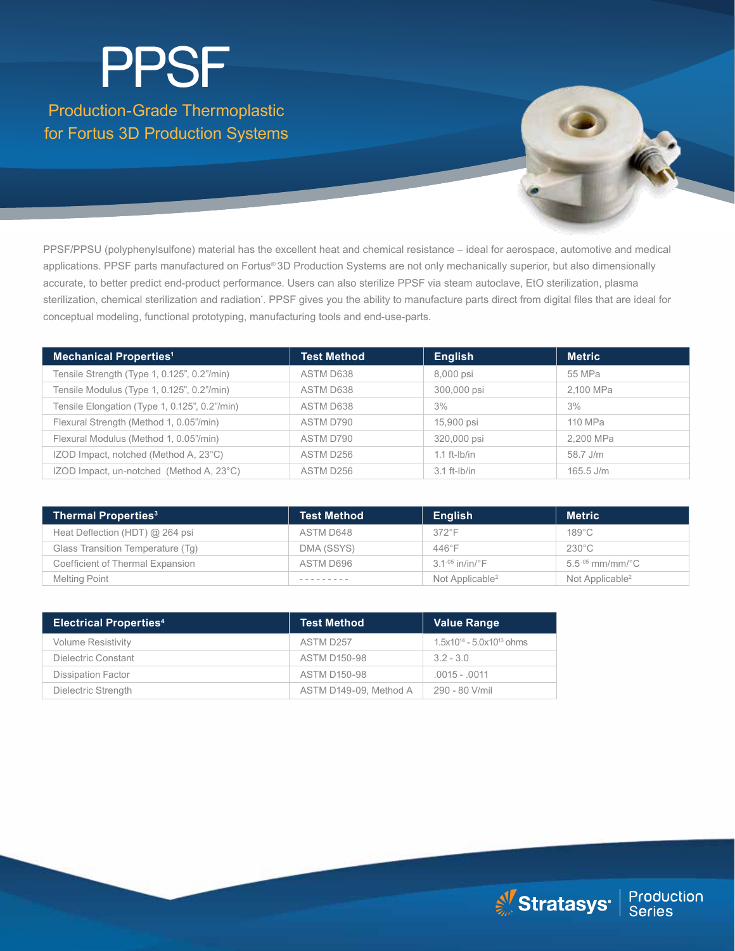# Production-Grade Thermoplastic for Fortus 3D Production Systems PPSF

PPSF/PPSU (polyphenylsulfone) material has the excellent heat and chemical resistance – ideal for aerospace, automotive and medical applications. PPSF parts manufactured on Fortus® 3D Production Systems are not only mechanically superior, but also dimensionally accurate, to better predict end-product performance. Users can also sterilize PPSF via steam autoclave, EtO sterilization, plasma sterilization, chemical sterilization and radiation\*. PPSF gives you the ability to manufacture parts direct from digital files that are ideal for conceptual modeling, functional prototyping, manufacturing tools and end-use-parts.

| <b>Mechanical Properties<sup>1</sup></b>      | <b>Test Method</b> | <b>English</b> | <b>Metric</b> |
|-----------------------------------------------|--------------------|----------------|---------------|
| Tensile Strength (Type 1, 0.125", 0.2"/min)   | ASTM D638          | 8,000 psi      | 55 MPa        |
| Tensile Modulus (Type 1, 0.125", 0.2"/min)    | ASTM D638          | 300,000 psi    | 2,100 MPa     |
| Tensile Elongation (Type 1, 0.125", 0.2"/min) | ASTM D638          | 3%             | 3%            |
| Flexural Strength (Method 1, 0.05"/min)       | ASTM D790          | 15,900 psi     | 110 MPa       |
| Flexural Modulus (Method 1, 0.05"/min)        | ASTM D790          | 320,000 psi    | 2.200 MPa     |
| IZOD Impact, notched (Method A, 23°C)         | ASTM D256          | $1.1$ ft-lb/in | 58.7 J/m      |
| IZOD Impact, un-notched (Method A, 23°C)      | ASTM D256          | $3.1$ ft-lb/in | $165.5$ J/m   |

| <b>Thermal Properties<sup>3</sup></b> | <b>Test Method</b> | <b>English</b>              | <b>Metric</b>               |
|---------------------------------------|--------------------|-----------------------------|-----------------------------|
| Heat Deflection (HDT) @ 264 psi       | ASTM D648          | $372^{\circ}$ F             | $189^{\circ}$ C             |
| Glass Transition Temperature (Tq)     | DMA (SSYS)         | $446^{\circ}$ F             | $230^{\circ}$ C             |
| Coefficient of Thermal Expansion      | ASTM D696          | $3.1 - 05$ in/in/°F         | $5.5^{05}$ mm/mm/°C         |
| Melting Point                         |                    | Not Applicable <sup>2</sup> | Not Applicable <sup>2</sup> |

| <b>Electrical Properties4</b> | <b>Test Method</b>     | <b>Value Range</b>               |
|-------------------------------|------------------------|----------------------------------|
| <b>Volume Resistivity</b>     | ASTM D257              | $1.5x10^{14} - 5.0x10^{13}$ ohms |
| Dielectric Constant           | <b>ASTM D150-98</b>    | $32 - 30$                        |
| <b>Dissipation Factor</b>     | <b>ASTM D150-98</b>    | $.0015 - .0011$                  |
| Dielectric Strength           | ASTM D149-09, Method A | 290 - 80 V/mil                   |